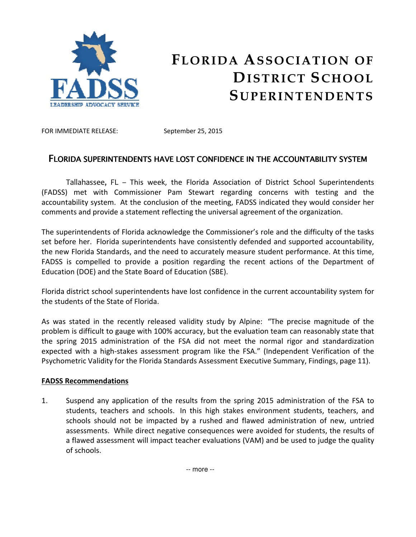

## FLORIDA ASSOCIATION OF DISTRICT SCHOOL **SUPERINTENDENTS**

FOR IMMEDIATE RELEASE: September 25, 2015

## FLORIDA SUPERINTENDENTS HAVE LOST CONFIDENCE IN THE ACCOUNTABILITY SYSTEM

Tallahassee, FL – This week, the Florida Association of District School Superintendents (FADSS) met with Commissioner Pam Stewart regarding concerns with testing and the accountability system. At the conclusion of the meeting, FADSS indicated they would consider her comments and provide a statement reflecting the universal agreement of the organization.

The superintendents of Florida acknowledge the Commissioner's role and the difficulty of the tasks set before her. Florida superintendents have consistently defended and supported accountability, the new Florida Standards, and the need to accurately measure student performance. At this time, FADSS is compelled to provide a position regarding the recent actions of the Department of Education (DOE) and the State Board of Education (SBE).

Florida district school superintendents have lost confidence in the current accountability system for the students of the State of Florida.

As was stated in the recently released validity study by Alpine: "The precise magnitude of the problem is difficult to gauge with 100% accuracy, but the evaluation team can reasonably state that the spring 2015 administration of the FSA did not meet the normal rigor and standardization expected with a high-stakes assessment program like the FSA." (Independent Verification of the Psychometric Validity for the Florida Standards Assessment Executive Summary, Findings, page 11).

## FADSS Recommendations

1. Suspend any application of the results from the spring 2015 administration of the FSA to students, teachers and schools. In this high stakes environment students, teachers, and schools should not be impacted by a rushed and flawed administration of new, untried assessments. While direct negative consequences were avoided for students, the results of a flawed assessment will impact teacher evaluations (VAM) and be used to judge the quality of schools.

-- more --